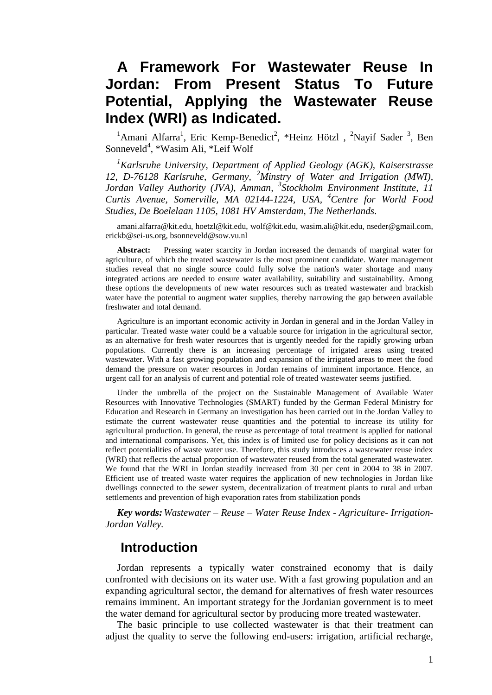# **A Framework For Wastewater Reuse In Jordan: From Present Status To Future Potential, Applying the Wastewater Reuse Index (WRI) as Indicated.**

 $1$ Amani Alfarra<sup>1</sup>, Eric Kemp-Benedict<sup>2</sup>, \*Heinz Hötzl, <sup>2</sup>Nayif Sader<sup>3</sup>, Ben Sonneveld<sup>4</sup>, \*Wasim Ali, \*Leif Wolf

*<sup>1</sup>Karlsruhe University, Department of Applied Geology (AGK), Kaiserstrasse 12, D-76128 Karlsruhe, Germany, <sup>2</sup>Minstry of Water and Irrigation (MWI), Jordan Valley Authority (JVA), Amman, 3 Stockholm Environment Institute, 11 Curtis Avenue, Somerville, MA 02144-1224, USA, <sup>4</sup>Centre for World Food Studies, De Boelelaan 1105, 1081 HV Amsterdam, The Netherlands.*

amani.alfarra@kit.edu, [hoetzl@kit.edu,](mailto:hoetzl@kit.edu) wolf@kit.edu, wasim.ali@kit.edu, [nseder@gmail.com,](mailto:nseder@gmail.com) [erickb@sei-us.org,](mailto:erickb@sei-us.org) bsonneveld@sow.vu.nl

**Abstract:** Pressing water scarcity in Jordan increased the demands of marginal water for agriculture, of which the treated wastewater is the most prominent candidate. Water management studies reveal that no single source could fully solve the nation's water shortage and many integrated actions are needed to ensure water availability, suitability and sustainability. Among these options the developments of new water resources such as treated wastewater and brackish water have the potential to augment water supplies, thereby narrowing the gap between available freshwater and total demand.

Agriculture is an important economic activity in Jordan in general and in the Jordan Valley in particular. Treated waste water could be a valuable source for irrigation in the agricultural sector, as an alternative for fresh water resources that is urgently needed for the rapidly growing urban populations. Currently there is an increasing percentage of irrigated areas using treated wastewater. With a fast growing population and expansion of the irrigated areas to meet the food demand the pressure on water resources in Jordan remains of imminent importance. Hence, an urgent call for an analysis of current and potential role of treated wastewater seems justified.

Under the umbrella of the project on the Sustainable Management of Available Water Resources with Innovative Technologies (SMART) funded by the German Federal Ministry for Education and Research in Germany an investigation has been carried out in the Jordan Valley to estimate the current wastewater reuse quantities and the potential to increase its utility for agricultural production. In general, the reuse as percentage of total treatment is applied for national and international comparisons. Yet, this index is of limited use for policy decisions as it can not reflect potentialities of waste water use. Therefore, this study introduces a wastewater reuse index (WRI) that reflects the actual proportion of wastewater reused from the total generated wastewater. We found that the WRI in Jordan steadily increased from 30 per cent in 2004 to 38 in 2007. Efficient use of treated waste water requires the application of new technologies in Jordan like dwellings connected to the sewer system, decentralization of treatment plants to rural and urban settlements and prevention of high evaporation rates from stabilization ponds

*Key words: Wastewater – Reuse – Water Reuse Index - Agriculture- Irrigation-Jordan Valley.*

## **Introduction**

Jordan represents a typically water constrained economy that is daily confronted with decisions on its water use. With a fast growing population and an expanding agricultural sector, the demand for alternatives of fresh water resources remains imminent. An important strategy for the Jordanian government is to meet the water demand for agricultural sector by producing more treated wastewater.

The basic principle to use collected wastewater is that their treatment can adjust the quality to serve the following end-users: irrigation, artificial recharge,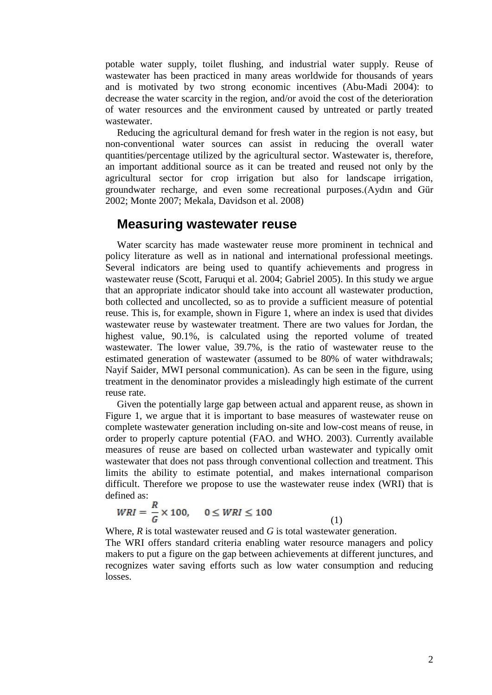potable water supply, toilet flushing, and industrial water supply. Reuse of wastewater has been practiced in many areas worldwide for thousands of years and is motivated by two strong economic incentives (Abu-Madi 2004): to decrease the water scarcity in the region, and/or avoid the cost of the deterioration of water resources and the environment caused by untreated or partly treated wastewater.

Reducing the agricultural demand for fresh water in the region is not easy, but non-conventional water sources can assist in reducing the overall water quantities/percentage utilized by the agricultural sector. Wastewater is, therefore, an important additional source as it can be treated and reused not only by the agricultural sector for crop irrigation but also for landscape irrigation, groundwater recharge, and even some recreational purposes.(Aydın and Gür 2002; Monte 2007; Mekala, Davidson et al. 2008)

### **Measuring wastewater reuse**

Water scarcity has made wastewater reuse more prominent in technical and policy literature as well as in national and international professional meetings. Several indicators are being used to quantify achievements and progress in wastewater reuse (Scott, Faruqui et al. 2004; Gabriel 2005). In this study we argue that an appropriate indicator should take into account all wastewater production, both collected and uncollected, so as to provide a sufficient measure of potential reuse. This is, for example, shown in [Figure 1,](#page-2-0) where an index is used that divides wastewater reuse by wastewater treatment. There are two values for Jordan, the highest value, 90.1%, is calculated using the reported volume of treated wastewater. The lower value, 39.7%, is the ratio of wastewater reuse to the estimated generation of wastewater (assumed to be 80% of water withdrawals; Nayif Saider, MWI personal communication). As can be seen in the figure, using treatment in the denominator provides a misleadingly high estimate of the current reuse rate.

Given the potentially large gap between actual and apparent reuse, as shown in [Figure 1,](#page-2-0) we argue that it is important to base measures of wastewater reuse on complete wastewater generation including on-site and low-cost means of reuse, in order to properly capture potential (FAO. and WHO. 2003). Currently available measures of reuse are based on collected urban wastewater and typically omit wastewater that does not pass through conventional collection and treatment. This limits the ability to estimate potential, and makes international comparison difficult. Therefore we propose to use the wastewater reuse index (WRI) that is defined as:

$$
WRI = \frac{R}{G} \times 100, \quad 0 \leq WRI \leq 100
$$

Where, *R* is total wastewater reused and *G* is total wastewater generation.

The WRI offers standard criteria enabling water resource managers and policy makers to put a figure on the gap between achievements at different junctures, and recognizes water saving efforts such as low water consumption and reducing losses.

(1)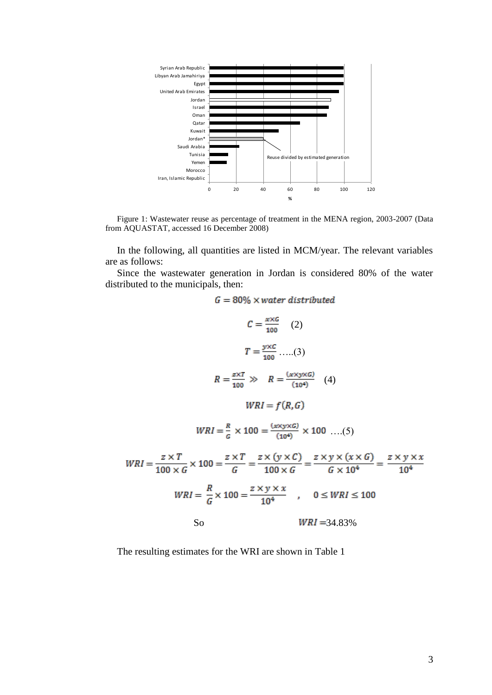

<span id="page-2-0"></span>Figure 1: Wastewater reuse as percentage of treatment in the MENA region, 2003-2007 (Data from AQUASTAT, accessed 16 December 2008)

In the following, all quantities are listed in MCM/year. The relevant variables are as follows:

Since the wastewater generation in Jordan is considered 80% of the water distributed to the municipals, then:

×

$$
G = 80\% \times water\ distributed
$$
  
\n
$$
C = \frac{x \times G}{100} \quad (2)
$$
  
\n
$$
T = \frac{y \times C}{100} \quad \dots (3)
$$
  
\n
$$
R = \frac{z \times T}{100} \gg R = \frac{(x \times y \times G)}{(10^4)} \quad (4)
$$
  
\n
$$
WRI = f(R, G)
$$
  
\n
$$
WRI = \frac{R}{G} \times 100 = \frac{(x \times y \times G)}{(10^4)} \times 100 \quad \dots (5)
$$
  
\n
$$
WRI = \frac{z \times T}{100 \times G} \times 100 = \frac{z \times T}{G} = \frac{z \times (y \times C)}{100 \times G} = \frac{z \times y \times (x \times G)}{G \times 10^4} = \frac{z \times y \times x}{10^4}
$$
  
\n
$$
WRI = \frac{R}{G} \times 100 = \frac{z \times y \times x}{10^4} \quad , \quad 0 \le WRI \le 100
$$
  
\nSo  
\n
$$
WRI = 34.83\%
$$

The resulting estimates for the WRI are shown in Table 1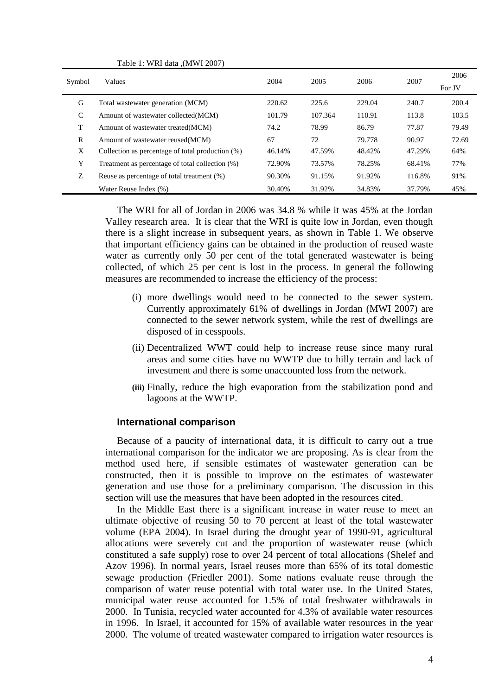|        | Values                                           | 2004   | 2005    | 2006   | 2007   | 2006   |
|--------|--------------------------------------------------|--------|---------|--------|--------|--------|
| Symbol |                                                  |        |         |        |        | For JV |
| G      | Total wastewater generation (MCM)                | 220.62 | 225.6   | 229.04 | 240.7  | 200.4  |
| C      | Amount of wastewater collected (MCM)             | 101.79 | 107.364 | 110.91 | 113.8  | 103.5  |
| T      | Amount of wastewater treated (MCM)               | 74.2   | 78.99   | 86.79  | 77.87  | 79.49  |
| R      | Amount of wastewater reused (MCM)                | 67     | 72      | 79.778 | 90.97  | 72.69  |
| X      | Collection as percentage of total production (%) | 46.14% | 47.59%  | 48.42% | 47.29% | 64%    |
| Y      | Treatment as percentage of total collection (%)  | 72.90% | 73.57%  | 78.25% | 68.41% | 77%    |
| Ζ      | Reuse as percentage of total treatment (%)       | 90.30% | 91.15%  | 91.92% | 116.8% | 91%    |
|        | Water Reuse Index (%)                            | 30.40% | 31.92%  | 34.83% | 37.79% | 45%    |

#### Table 1: WRI data ,(MWI 2007)

The WRI for all of Jordan in 2006 was 34.8 % while it was 45% at the Jordan Valley research area. It is clear that the WRI is quite low in Jordan, even though there is a slight increase in subsequent years, as shown in Table 1. We observe that important efficiency gains can be obtained in the production of reused waste water as currently only 50 per cent of the total generated wastewater is being collected, of which 25 per cent is lost in the process. In general the following measures are recommended to increase the efficiency of the process:

- (i) more dwellings would need to be connected to the sewer system. Currently approximately 61% of dwellings in Jordan (MWI 2007) are connected to the sewer network system, while the rest of dwellings are disposed of in cesspools.
- (ii) Decentralized WWT could help to increase reuse since many rural areas and some cities have no WWTP due to hilly terrain and lack of investment and there is some unaccounted loss from the network.
- **(iii)** Finally, reduce the high evaporation from the stabilization pond and lagoons at the WWTP.

#### **International comparison**

Because of a paucity of international data, it is difficult to carry out a true international comparison for the indicator we are proposing. As is clear from the method used here, if sensible estimates of wastewater generation can be constructed, then it is possible to improve on the estimates of wastewater generation and use those for a preliminary comparison. The discussion in this section will use the measures that have been adopted in the resources cited.

In the Middle East there is a significant increase in water reuse to meet an ultimate objective of reusing 50 to 70 percent at least of the total wastewater volume (EPA 2004). In Israel during the drought year of 1990-91, agricultural allocations were severely cut and the proportion of wastewater reuse (which constituted a safe supply) rose to over 24 percent of total allocations (Shelef and Azov 1996). In normal years, Israel reuses more than 65% of its total domestic sewage production (Friedler 2001). Some nations evaluate reuse through the comparison of water reuse potential with total water use. In the United States, municipal water reuse accounted for 1.5% of total freshwater withdrawals in 2000. In Tunisia, recycled water accounted for 4.3% of available water resources in 1996. In Israel, it accounted for 15% of available water resources in the year 2000. The volume of treated wastewater compared to irrigation water resources is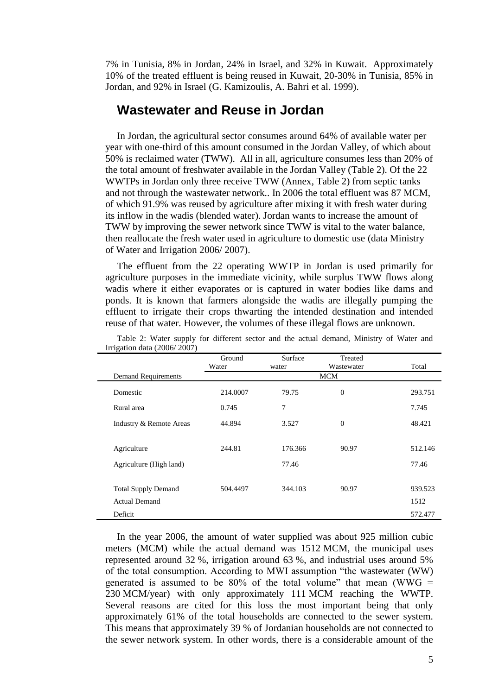7% in Tunisia, 8% in Jordan, 24% in Israel, and 32% in Kuwait. Approximately 10% of the treated effluent is being reused in Kuwait, 20-30% in Tunisia, 85% in Jordan, and 92% in Israel (G. Kamizoulis, A. Bahri et al. 1999).

## **Wastewater and Reuse in Jordan**

In Jordan, the agricultural sector consumes around 64% of available water per year with one-third of this amount consumed in the Jordan Valley, of which about 50% is reclaimed water (TWW). All in all, agriculture consumes less than 20% of the total amount of freshwater available in the Jordan Valley [\(Table 2\)](#page-4-0). Of the 22 WWTPs in Jordan only three receive TWW (Annex, [Table 2\)](#page-4-0) from septic tanks and not through the wastewater network.. In 2006 the total effluent was 87 MCM, of which 91.9% was reused by agriculture after mixing it with fresh water during its inflow in the wadis (blended water). Jordan wants to increase the amount of TWW by improving the sewer network since TWW is vital to the water balance, then reallocate the fresh water used in agriculture to domestic use (data Ministry of Water and Irrigation 2006/ 2007).

The effluent from the 22 operating WWTP in Jordan is used primarily for agriculture purposes in the immediate vicinity, while surplus TWW flows along wadis where it either evaporates or is captured in water bodies like dams and ponds. It is known that farmers alongside the wadis are illegally pumping the effluent to irrigate their crops thwarting the intended destination and intended reuse of that water. However, the volumes of these illegal flows are unknown.

| $\frac{1}{2}$              |          |         |                |         |
|----------------------------|----------|---------|----------------|---------|
|                            | Ground   | Surface | Treated        |         |
|                            | Water    | water   | Wastewater     | Total   |
| <b>Demand Requirements</b> |          |         | <b>MCM</b>     |         |
| Domestic                   | 214.0007 | 79.75   | $\Omega$       | 293.751 |
| Rural area                 | 0.745    | 7       |                | 7.745   |
| Industry & Remote Areas    | 44.894   | 3.527   | $\overline{0}$ | 48.421  |
|                            |          |         |                |         |
| Agriculture                | 244.81   | 176.366 | 90.97          | 512.146 |
| Agriculture (High land)    |          | 77.46   |                | 77.46   |
|                            |          |         |                |         |
| <b>Total Supply Demand</b> | 504.4497 | 344.103 | 90.97          | 939.523 |
| <b>Actual Demand</b>       |          |         |                | 1512    |
| Deficit                    |          |         |                | 572.477 |

<span id="page-4-0"></span>Table 2: Water supply for different sector and the actual demand, Ministry of Water and Irrigation data (2006/ 2007)

In the year 2006, the amount of water supplied was about 925 million cubic meters (MCM) while the actual demand was 1512 MCM, the municipal uses represented around 32 %, irrigation around 63 %, and industrial uses around 5% of the total consumption. According to MWI assumption "the wastewater (WW) generated is assumed to be  $80\%$  of the total volume" that mean (WWG = 230 MCM/year) with only approximately 111 MCM reaching the WWTP. Several reasons are cited for this loss the most important being that only approximately 61% of the total households are connected to the sewer system. This means that approximately 39 % of Jordanian households are not connected to the sewer network system. In other words, there is a considerable amount of the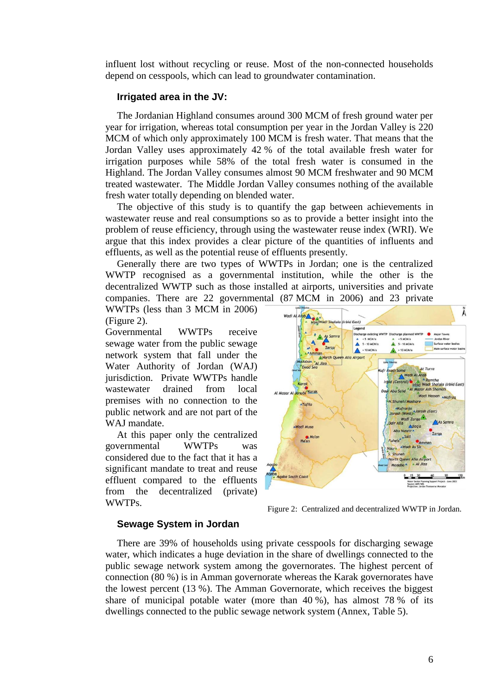influent lost without recycling or reuse. Most of the non-connected households depend on cesspools, which can lead to groundwater contamination.

#### **Irrigated area in the JV:**

The Jordanian Highland consumes around 300 MCM of fresh ground water per year for irrigation, whereas total consumption per year in the Jordan Valley is 220 MCM of which only approximately 100 MCM is fresh water. That means that the Jordan Valley uses approximately 42 % of the total available fresh water for irrigation purposes while 58% of the total fresh water is consumed in the Highland. The Jordan Valley consumes almost 90 MCM freshwater and 90 MCM treated wastewater. The Middle Jordan Valley consumes nothing of the available fresh water totally depending on blended water.

The objective of this study is to quantify the gap between achievements in wastewater reuse and real consumptions so as to provide a better insight into the problem of reuse efficiency, through using the wastewater reuse index (WRI). We argue that this index provides a clear picture of the quantities of influents and effluents, as well as the potential reuse of effluents presently.

Generally there are two types of WWTPs in Jordan; one is the centralized WWTP recognised as a governmental institution, while the other is the decentralized WWTP such as those installed at airports, universities and private companies. There are 22 governmental (87 MCM in 2006) and 23 private

WWTPs (less than 3 MCM in 2006) [\(Figure 2\)](#page-5-0).

Governmental WWTPs receive sewage water from the public sewage network system that fall under the Water Authority of Jordan (WAJ) jurisdiction. Private WWTPs handle wastewater drained from local premises with no connection to the public network and are not part of the WAJ mandate.

At this paper only the centralized governmental WWTPs was considered due to the fact that it has a significant mandate to treat and reuse effluent compared to the effluents from the decentralized (private) WWTPs.



Figure 2: Centralized and decentralized WWTP in Jordan.

#### <span id="page-5-0"></span>**Sewage System in Jordan**

There are 39% of households using private cesspools for discharging sewage water, which indicates a huge deviation in the share of dwellings connected to the public sewage network system among the governorates. The highest percent of connection (80 %) is in Amman governorate whereas the Karak governorates have the lowest percent (13 %). The Amman Governorate, which receives the biggest share of municipal potable water (more than 40 %), has almost 78 % of its dwellings connected to the public sewage network system (Annex, [Table 5\)](#page-11-0).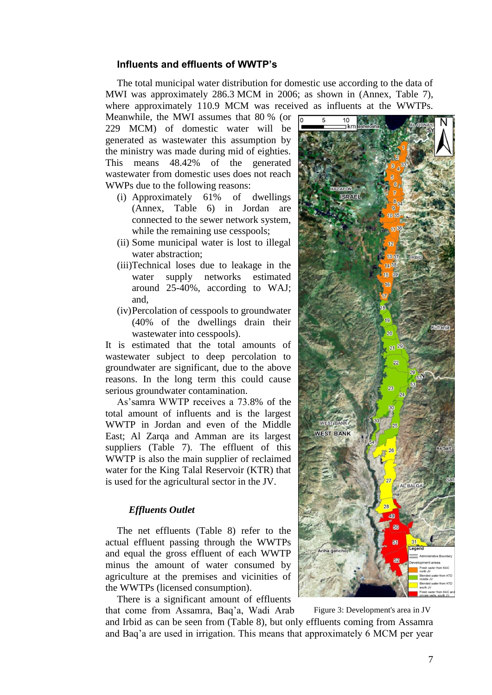#### **Influents and effluents of WWTP's**

The total municipal water distribution for domestic use according to the data of MWI was approximately 286.3 MCM in 2006; as shown in (Annex, [Table 7\)](#page-13-0), where approximately 110.9 MCM was received as influents at the WWTPs.

Meanwhile, the MWI assumes that 80 % (or 229 MCM) of domestic water will be generated as wastewater this assumption by the ministry was made during mid of eighties. This means 48.42% of the generated wastewater from domestic uses does not reach WWPs due to the following reasons:

- (i) Approximately 61% of dwellings (Annex, [Table 6\)](#page-12-0) in Jordan are connected to the sewer network system, while the remaining use cesspools;
- (ii) Some municipal water is lost to illegal water abstraction;
- (iii)Technical loses due to leakage in the water supply networks estimated around 25-40%, according to WAJ; and,
- (iv)Percolation of cesspools to groundwater (40% of the dwellings drain their wastewater into cesspools).

It is estimated that the total amounts of wastewater subject to deep percolation to groundwater are significant, due to the above reasons. In the long term this could cause serious groundwater contamination.

As'samra WWTP receives a 73.8% of the total amount of influents and is the largest WWTP in Jordan and even of the Middle East; Al Zarqa and Amman are its largest suppliers [\(Table 7\)](#page-13-0). The effluent of this WWTP is also the main supplier of reclaimed water for the King Talal Reservoir (KTR) that is used for the agricultural sector in the JV.

#### *Effluents Outlet*

The net effluents [\(Table 8\)](#page-14-0) refer to the actual effluent passing through the WWTPs and equal the gross effluent of each WWTP minus the amount of water consumed by agriculture at the premises and vicinities of the WWTPs (licensed consumption).

There is a significant amount of effluents that come from Assamra, Baq'a, Wadi Arab

<span id="page-6-0"></span>and Irbid as can be seen from [\(Table 8\)](#page-14-0), but only effluents coming from Assamra and Baq'a are used in irrigation. This means that approximately 6 MCM per year Figure 3: Development's area in JV

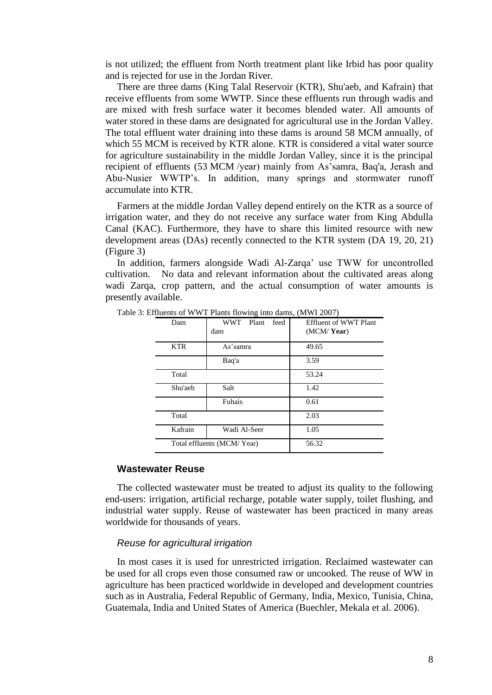is not utilized; the effluent from North treatment plant like Irbid has poor quality and is rejected for use in the Jordan River.

There are three dams (King Talal Reservoir (KTR), Shu'aeb, and Kafrain) that receive effluents from some WWTP. Since these effluents run through wadis and are mixed with fresh surface water it becomes blended water. All amounts of water stored in these dams are designated for agricultural use in the Jordan Valley. The total effluent water draining into these dams is around 58 MCM annually, of which 55 MCM is received by KTR alone. KTR is considered a vital water source for agriculture sustainability in the middle Jordan Valley, since it is the principal recipient of effluents (53 MCM /year) mainly from As'samra, Baq'a, Jerash and Abu-Nusier WWTP's. In addition, many springs and stormwater runoff accumulate into KTR.

Farmers at the middle Jordan Valley depend entirely on the KTR as a source of irrigation water, and they do not receive any surface water from King Abdulla Canal (KAC). Furthermore, they have to share this limited resource with new development areas (DAs) recently connected to the KTR system (DA 19, 20, 21) [\(Figure 3\)](#page-6-0)

In addition, farmers alongside Wadi Al-Zarqa' use TWW for uncontrolled cultivation. No data and relevant information about the cultivated areas along wadi Zarqa, crop pattern, and the actual consumption of water amounts is presently available.

| Dam        | <b>WWT</b><br>Plant<br>feed<br>dam | <b>Effluent of WWT Plant</b><br>(MCM/Year) |
|------------|------------------------------------|--------------------------------------------|
| <b>KTR</b> | As'samra                           | 49.65                                      |
|            | Baq'a                              | 3.59                                       |
| Total      |                                    | 53.24                                      |
| Shu'aeb    | Salt                               | 1.42                                       |
|            | Fuhais                             | 0.61                                       |
| Total      |                                    | 2.03                                       |
| Kafrain    | Wadi Al-Seer                       | 1.05                                       |
|            | Total effluents (MCM/Year)         | 56.32                                      |

Table 3: Effluents of WWT Plants flowing into dams, (MWI 2007)

#### **Wastewater Reuse**

The collected wastewater must be treated to adjust its quality to the following end-users: irrigation, artificial recharge, potable water supply, toilet flushing, and industrial water supply. Reuse of wastewater has been practiced in many areas worldwide for thousands of years.

#### *Reuse for agricultural irrigation*

In most cases it is used for unrestricted irrigation. Reclaimed wastewater can be used for all crops even those consumed raw or uncooked. The reuse of WW in agriculture has been practiced worldwide in developed and development countries such as in Australia, Federal Republic of Germany, India, Mexico, Tunisia, China, Guatemala, India and United States of America (Buechler, Mekala et al. 2006).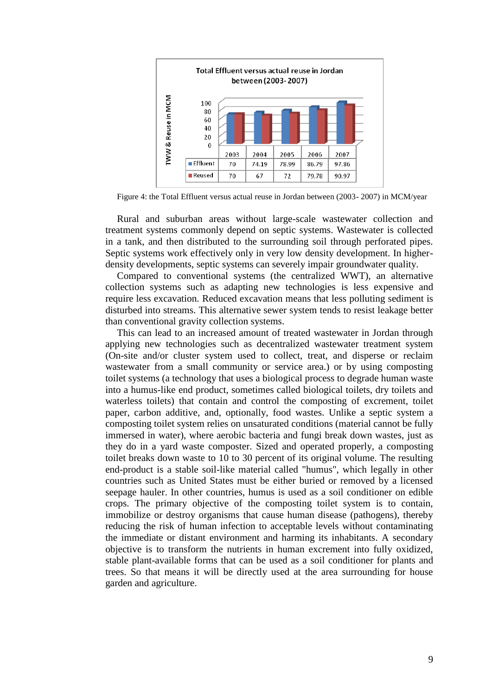

Figure 4: the Total Effluent versus actual reuse in Jordan between (2003- 2007) in MCM/year

Rural and suburban areas without large-scale wastewater collection and treatment systems commonly depend on septic systems. Wastewater is collected in a tank, and then distributed to the surrounding soil through perforated pipes. Septic systems work effectively only in very low density development. In higherdensity developments, septic systems can severely impair groundwater quality.

Compared to conventional systems (the centralized WWT), an alternative collection systems such as adapting new technologies is less expensive and require less excavation. Reduced excavation means that less polluting sediment is disturbed into streams. This alternative sewer system tends to resist leakage better than conventional gravity collection systems.

This can lead to an increased amount of treated wastewater in Jordan through applying new technologies such as decentralized wastewater treatment system (On-site and/or cluster system used to collect, treat, and disperse or reclaim wastewater from a small community or service area.) or by using composting toilet systems (a technology that uses a biological process to degrade human waste into a humus-like end product, sometimes called biological toilets, dry toilets and waterless toilets) that contain and control the composting of excrement, toilet paper, carbon additive, and, optionally, food wastes. Unlike a septic system a composting toilet system relies on unsaturated conditions (material cannot be fully immersed in water), where aerobic bacteria and fungi break down wastes, just as they do in a yard waste composter. Sized and operated properly, a composting toilet breaks down waste to 10 to 30 percent of its original volume. The resulting end-product is a stable soil-like material called "humus", which legally in other countries such as United States must be either buried or removed by a licensed seepage hauler. In other countries, humus is used as a soil conditioner on edible crops. The primary objective of the composting toilet system is to contain, immobilize or destroy organisms that cause human disease (pathogens), thereby reducing the risk of human infection to acceptable levels without contaminating the immediate or distant environment and harming its inhabitants. A secondary objective is to transform the nutrients in human excrement into fully oxidized, stable plant-available forms that can be used as a soil conditioner for plants and trees. So that means it will be directly used at the area surrounding for house garden and agriculture.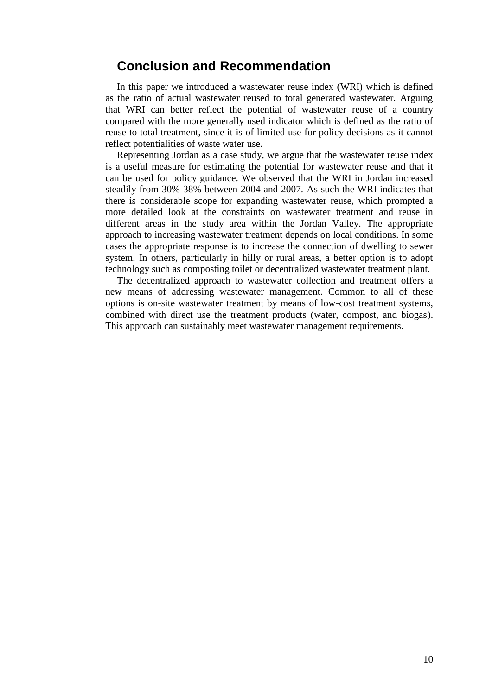## **Conclusion and Recommendation**

In this paper we introduced a wastewater reuse index (WRI) which is defined as the ratio of actual wastewater reused to total generated wastewater. Arguing that WRI can better reflect the potential of wastewater reuse of a country compared with the more generally used indicator which is defined as the ratio of reuse to total treatment, since it is of limited use for policy decisions as it cannot reflect potentialities of waste water use.

Representing Jordan as a case study, we argue that the wastewater reuse index is a useful measure for estimating the potential for wastewater reuse and that it can be used for policy guidance. We observed that the WRI in Jordan increased steadily from 30%-38% between 2004 and 2007. As such the WRI indicates that there is considerable scope for expanding wastewater reuse, which prompted a more detailed look at the constraints on wastewater treatment and reuse in different areas in the study area within the Jordan Valley. The appropriate approach to increasing wastewater treatment depends on local conditions. In some cases the appropriate response is to increase the connection of dwelling to sewer system. In others, particularly in hilly or rural areas, a better option is to adopt technology such as composting toilet or decentralized wastewater treatment plant.

The decentralized approach to wastewater collection and treatment offers a new means of addressing wastewater management. Common to all of these options is on-site wastewater treatment by means of low-cost treatment systems, combined with direct use the treatment products (water, compost, and biogas). This approach can sustainably meet wastewater management requirements.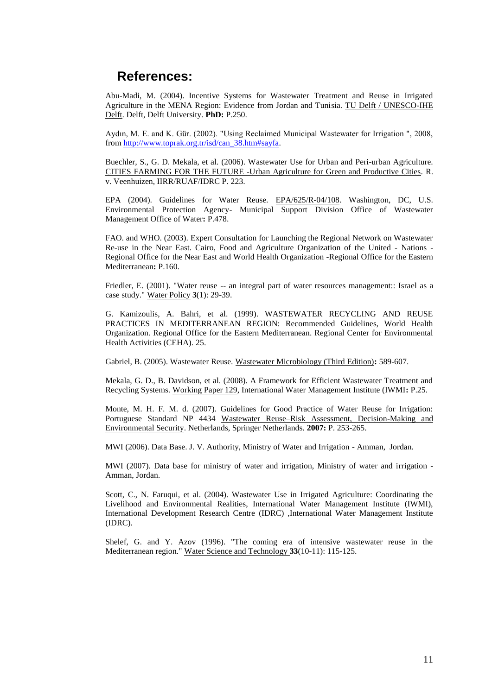## **References:**

Abu-Madi, M. (2004). Incentive Systems for Wastewater Treatment and Reuse in Irrigated Agriculture in the MENA Region: Evidence from Jordan and Tunisia. TU Delft / UNESCO-IHE Delft. Delft, Delft University. **PhD:** P.250.

Aydın, M. E. and K. Gür. (2002). "Using Reclaimed Municipal Wastewater for Irrigation ", 2008, fro[m http://www.toprak.org.tr/isd/can\\_38.htm#sayfa.](http://www.toprak.org.tr/isd/can_38.htm#sayfa)

Buechler, S., G. D. Mekala, et al. (2006). Wastewater Use for Urban and Peri-urban Agriculture. CITIES FARMING FOR THE FUTURE -Urban Agriculture for Green and Productive Cities. R. v. Veenhuizen, IIRR/RUAF/IDRC P. 223.

EPA (2004). Guidelines for Water Reuse. EPA/625/R-04/108. Washington, DC, U.S. Environmental Protection Agency- Municipal Support Division Office of Wastewater Management Office of Water**:** P.478.

FAO. and WHO. (2003). Expert Consultation for Launching the Regional Network on Wastewater Re-use in the Near East. Cairo, Food and Agriculture Organization of the United - Nations - Regional Office for the Near East and World Health Organization -Regional Office for the Eastern Mediterranean**:** P.160.

Friedler, E. (2001). "Water reuse -- an integral part of water resources management:: Israel as a case study." Water Policy **3**(1): 29-39.

G. Kamizoulis, A. Bahri, et al. (1999). WASTEWATER RECYCLING AND REUSE PRACTICES IN MEDITERRANEAN REGION: Recommended Guidelines, World Health Organization. Regional Office for the Eastern Mediterranean. Regional Center for Environmental Health Activities (CEHA). 25.

Gabriel, B. (2005). Wastewater Reuse. Wastewater Microbiology (Third Edition)**:** 589-607.

Mekala, G. D., B. Davidson, et al. (2008). A Framework for Efficient Wastewater Treatment and Recycling Systems. Working Paper 129, International Water Management Institute (IWMI**:** P.25.

Monte, M. H. F. M. d. (2007). Guidelines for Good Practice of Water Reuse for Irrigation: Portuguese Standard NP 4434 Wastewater Reuse–Risk Assessment, Decision-Making and Environmental Security. Netherlands, Springer Netherlands. **2007:** P. 253-265.

MWI (2006). Data Base. J. V. Authority, Ministry of Water and Irrigation - Amman, Jordan.

MWI (2007). Data base for ministry of water and irrigation, Ministry of water and irrigation - Amman, Jordan.

Scott, C., N. Faruqui, et al. (2004). Wastewater Use in Irrigated Agriculture: Coordinating the Livelihood and Environmental Realities, International Water Management Institute (IWMI), International Development Research Centre (IDRC) ,International Water Management Institute (IDRC).

Shelef, G. and Y. Azov (1996). "The coming era of intensive wastewater reuse in the Mediterranean region." Water Science and Technology **33**(10-11): 115-125.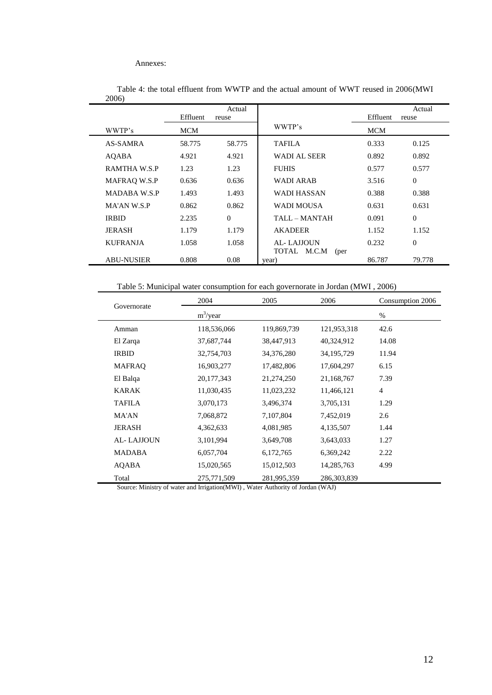#### Annexes:

Table 4: the total effluent from WWTP and the actual amount of WWT reused in 2006(MWI 2006)

|                     |            | Actual   |                              |            | Actual   |
|---------------------|------------|----------|------------------------------|------------|----------|
|                     | Effluent   | reuse    |                              | Effluent   | reuse    |
| WWTP's              | <b>MCM</b> |          | WWTP's                       | <b>MCM</b> |          |
| AS-SAMRA            | 58.775     | 58.775   | <b>TAFILA</b>                | 0.333      | 0.125    |
| AOABA               | 4.921      | 4.921    | WADI AL SEER                 | 0.892      | 0.892    |
| RAMTHA W.S.P        | 1.23       | 1.23     | <b>FUHIS</b>                 | 0.577      | 0.577    |
| <b>MAFRAO W.S.P</b> | 0.636      | 0.636    | WADI ARAB                    | 3.516      | $\theta$ |
| <b>MADABA W.S.P</b> | 1.493      | 1.493    | WADI HASSAN                  | 0.388      | 0.388    |
| MA'AN W.S.P         | 0.862      | 0.862    | WADI MOUSA                   | 0.631      | 0.631    |
| <b>IRBID</b>        | 2.235      | $\Omega$ | TALL – MANTAH                | 0.091      | $\Omega$ |
| <b>JERASH</b>       | 1.179      | 1.179    | <b>AKADEER</b>               | 1.152      | 1.152    |
| <b>KUFRANJA</b>     | 1.058      | 1.058    | <b>AL-LAJJOUN</b>            | 0.232      | $\Omega$ |
| <b>ABU-NUSIER</b>   | 0.808      | 0.08     | TOTAL M.C.M<br>(per<br>year) | 86.787     | 79.778   |

<span id="page-11-0"></span>Table 5: Municipal water consumption for each governorate in Jordan (MWI , 2006)

|                   | 2004         | 2005        | 2006          | Consumption 2006 |
|-------------------|--------------|-------------|---------------|------------------|
| Governorate       | $m^3$ /year  |             |               | $\%$             |
| Amman             | 118,536,066  | 119,869,739 | 121,953,318   | 42.6             |
| El Zarqa          | 37,687,744   | 38,447,913  | 40,324,912    | 14.08            |
| <b>IRBID</b>      | 32,754,703   | 34,376,280  | 34, 195, 729  | 11.94            |
| <b>MAFRAO</b>     | 16,903,277   | 17,482,806  | 17,604,297    | 6.15             |
| El Balqa          | 20, 177, 343 | 21,274,250  | 21,168,767    | 7.39             |
| KARAK             | 11,030,435   | 11,023,232  | 11,466,121    | $\overline{4}$   |
| <b>TAFILA</b>     | 3,070,173    | 3,496,374   | 3,705,131     | 1.29             |
| <b>MA'AN</b>      | 7,068,872    | 7,107,804   | 7,452,019     | 2.6              |
| JERASH            | 4,362,633    | 4,081,985   | 4,135,507     | 1.44             |
| <b>AL-LAJJOUN</b> | 3,101,994    | 3,649,708   | 3,643,033     | 1.27             |
| <b>MADABA</b>     | 6,057,704    | 6,172,765   | 6,369,242     | 2.22             |
| AQABA             | 15,020,565   | 15,012,503  | 14,285,763    | 4.99             |
| Total             | 275,771,509  | 281,995,359 | 286, 303, 839 |                  |

Source: Ministry of water and Irrigation(MWI) , Water Authority of Jordan (WAJ)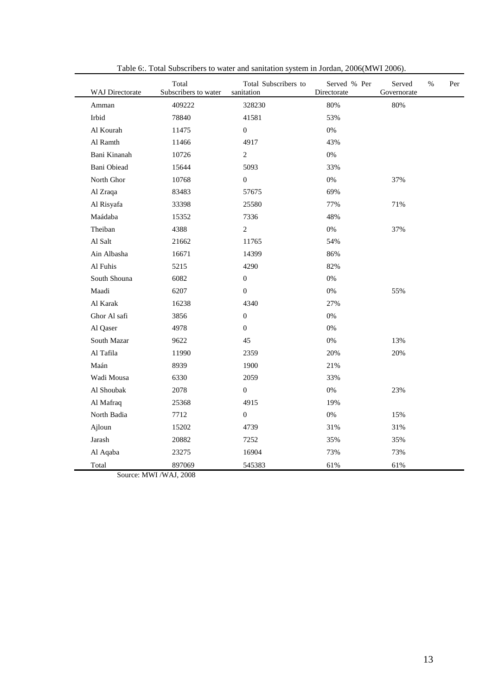| WAJ Directorate | Total<br>Subscribers to water | Total Subscribers to<br>sanitation | Served % Per<br>Directorate | Served<br>Governorate | $\%$ | Per |
|-----------------|-------------------------------|------------------------------------|-----------------------------|-----------------------|------|-----|
| Amman           | 409222                        | 328230                             | 80%                         | 80%                   |      |     |
| Irbid           | 78840                         | 41581                              | 53%                         |                       |      |     |
| Al Kourah       | 11475                         | $\boldsymbol{0}$                   | $0\%$                       |                       |      |     |
| Al Ramth        | 11466                         | 4917                               | 43%                         |                       |      |     |
| Bani Kinanah    | 10726                         | $\overline{c}$                     | $0\%$                       |                       |      |     |
| Bani Obiead     | 15644                         | 5093                               | 33%                         |                       |      |     |
| North Ghor      | 10768                         | $\boldsymbol{0}$                   | $0\%$                       | 37%                   |      |     |
| Al Zraqa        | 83483                         | 57675                              | 69%                         |                       |      |     |
| Al Risyafa      | 33398                         | 25580                              | 77%                         | 71%                   |      |     |
| Maádaba         | 15352                         | 7336                               | 48%                         |                       |      |     |
| Theiban         | 4388                          | $\overline{c}$                     | 0%                          | 37%                   |      |     |
| Al Salt         | 21662                         | 11765                              | 54%                         |                       |      |     |
| Ain Albasha     | 16671                         | 14399                              | 86%                         |                       |      |     |
| Al Fuhis        | 5215                          | 4290                               | 82%                         |                       |      |     |
| South Shouna    | 6082                          | $\boldsymbol{0}$                   | $0\%$                       |                       |      |     |
| Maadi           | 6207                          | $\boldsymbol{0}$                   | $0\%$                       | 55%                   |      |     |
| Al Karak        | 16238                         | 4340                               | 27%                         |                       |      |     |
| Ghor Al safi    | 3856                          | $\boldsymbol{0}$                   | 0%                          |                       |      |     |
| Al Qaser        | 4978                          | $\overline{0}$                     | 0%                          |                       |      |     |
| South Mazar     | 9622                          | 45                                 | $0\%$                       | 13%                   |      |     |
| Al Tafila       | 11990                         | 2359                               | 20%                         | 20%                   |      |     |
| Maán            | 8939                          | 1900                               | 21%                         |                       |      |     |
| Wadi Mousa      | 6330                          | 2059                               | 33%                         |                       |      |     |
| Al Shoubak      | 2078                          | $\boldsymbol{0}$                   | $0\%$                       | 23%                   |      |     |
| Al Mafraq       | 25368                         | 4915                               | 19%                         |                       |      |     |
| North Badia     | 7712                          | $\theta$                           | 0%                          | 15%                   |      |     |
| Ajloun          | 15202                         | 4739                               | 31%                         | 31%                   |      |     |
| Jarash          | 20882                         | 7252                               | 35%                         | 35%                   |      |     |
| Al Aqaba        | 23275                         | 16904                              | 73%                         | 73%                   |      |     |
| Total           | 897069                        | 545383                             | 61%                         | 61%                   |      |     |

<span id="page-12-0"></span>Table 6:. Total Subscribers to water and sanitation system in Jordan, 2006(MWI 2006).

Source: MWI /WAJ, 2008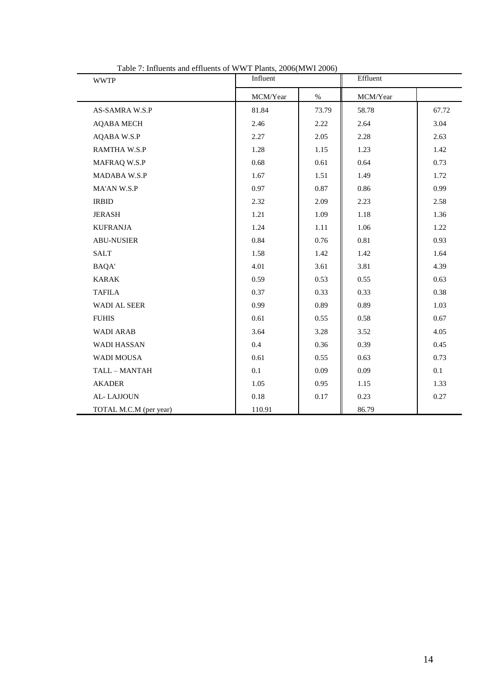| Fault 7. Implies and chocking of WWT Figures, 2000(BTWT 2000)<br><b>WWTP</b> | Influent |       |          |       |
|------------------------------------------------------------------------------|----------|-------|----------|-------|
|                                                                              | MCM/Year | $\%$  | MCM/Year |       |
| <b>AS-SAMRA W.S.P</b>                                                        | 81.84    | 73.79 | 58.78    | 67.72 |
| <b>AQABA MECH</b>                                                            | 2.46     | 2.22  | 2.64     | 3.04  |
| AQABA W.S.P                                                                  | 2.27     | 2.05  | 2.28     | 2.63  |
| RAMTHA W.S.P                                                                 | 1.28     | 1.15  | 1.23     | 1.42  |
| MAFRAQ W.S.P                                                                 | 0.68     | 0.61  | 0.64     | 0.73  |
| MADABA W.S.P                                                                 | 1.67     | 1.51  | 1.49     | 1.72  |
| MA'AN W.S.P                                                                  | 0.97     | 0.87  | 0.86     | 0.99  |
| <b>IRBID</b>                                                                 | 2.32     | 2.09  | 2.23     | 2.58  |
| <b>JERASH</b>                                                                | 1.21     | 1.09  | 1.18     | 1.36  |
| <b>KUFRANJA</b>                                                              | 1.24     | 1.11  | 1.06     | 1.22  |
| <b>ABU-NUSIER</b>                                                            | 0.84     | 0.76  | 0.81     | 0.93  |
| <b>SALT</b>                                                                  | 1.58     | 1.42  | 1.42     | 1.64  |
| BAQA'                                                                        | 4.01     | 3.61  | 3.81     | 4.39  |
| <b>KARAK</b>                                                                 | 0.59     | 0.53  | 0.55     | 0.63  |
| <b>TAFILA</b>                                                                | 0.37     | 0.33  | 0.33     | 0.38  |
| WADI AL SEER                                                                 | 0.99     | 0.89  | 0.89     | 1.03  |
| <b>FUHIS</b>                                                                 | 0.61     | 0.55  | 0.58     | 0.67  |
| <b>WADI ARAB</b>                                                             | 3.64     | 3.28  | 3.52     | 4.05  |
| WADI HASSAN                                                                  | $0.4\,$  | 0.36  | 0.39     | 0.45  |
| <b>WADI MOUSA</b>                                                            | 0.61     | 0.55  | 0.63     | 0.73  |
| TALL - MANTAH                                                                | 0.1      | 0.09  | 0.09     | 0.1   |
| <b>AKADER</b>                                                                | 1.05     | 0.95  | 1.15     | 1.33  |
| AL-LAJJOUN                                                                   | 0.18     | 0.17  | 0.23     | 0.27  |
| TOTAL M.C.M (per year)                                                       | 110.91   |       | 86.79    |       |

<span id="page-13-0"></span>Table 7: Influents and effluents of WWT Plants, 2006(MWI 2006)